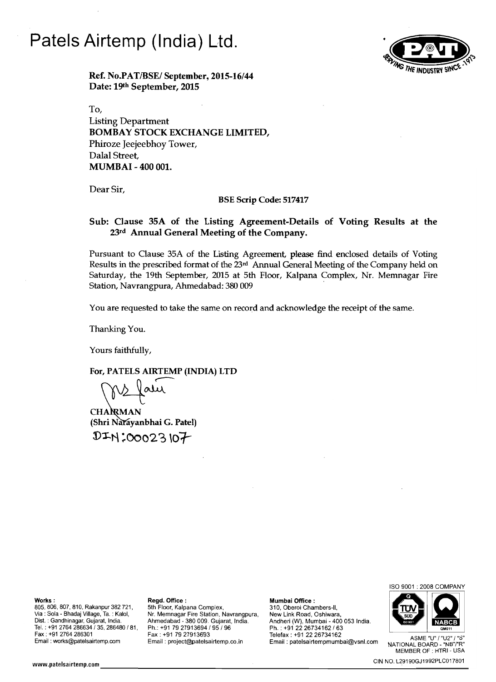# **Patels Airtemp** (India) Ltd.



Ref. *No.PATIBSEI* September, *2015-16/44*  Date: 19th September, 2015

To, Listing Department BOMBAY STOCK EXCHANGE LIMITED, Phiroze Jeejeebhoy Tower, Dalal Street, **MUMBAI - 400 001.** 

Dear Sir,

#### BSE Scrip Code: 517417

### Sub: Clause 35A of the Listing Agreement-Details of Voting Results at the 23rd Annual General Meeting of the Company.

Pursuant to Clause 35A of the Listing Agreement, please find enclosed details of Voting Results in the prescribed format of the 23rd Annual General Meeting of the Company held on Saturday, the 19th September, 2015 at 5th Floor, Kalpana Complex, Nr. Memnagar Fire Station, Navrangpura, Ahmedabad: 380 009 .

You are requested to take the same on record and acknowledge the receipt of the same.

Thanking You.

Yours faithfully,

For, PATELS AIRTEMP (INDIA) LTD

 $2$  jam

**CHARMAN** (Shri Narayanbhai G. Patel)  $DIM:00023 107$ 

Tel. : +91 2764 286634 / 35, 286480 / 81, Ph.: +91 79 27913694 /<br>Fax : +91 79 27913693 Fax : +91 79 27913693

**Works: Regd. Office : Regd. Office : Regd. Office : Regore in the set of Mumbai Office : Regd. Office : Regd. Office : Regore in the set of the set of the set of the set of the set of the set of the set of t** Works :<br>805, 806, 807, 810, Rakanpur 382 721, 5th Floor, Kalpana Complex, 310, Oberoi Chambers-II, IGO, Oberoi Chambers<br>Via : Sola - Bhadai Village. Ta. : Kalol. Nr. Memnagar Fire Station. Navrangpura New Link Road Oshiwar Fax: +91 2764 286301 Fax: +91 7927913693 Telefax: +91 2226734162 'asma' : +91 /9 2/913693 | elefax : +91 22 26734162<br>Email : project@patelsairtemp.co.in Email : patelsairtempmumbai@vsnl.com NATIONAL BOARD - "NB"/"R

Via : Sola - Bhadaj Village, Ta. : Kalol, Nr. Memnagar Fire Station, Navrangpura, New Link Road, Oshiwara,<br>Dist. : Gandhinagar, Gujarat, India. Ahmedabad - 380 009. Gujarat, India. Andheri (W), Mumbai - 400 053 India.<br>Tel.



MEMBER OF : HTRI - USA

www.patelsairtemp.com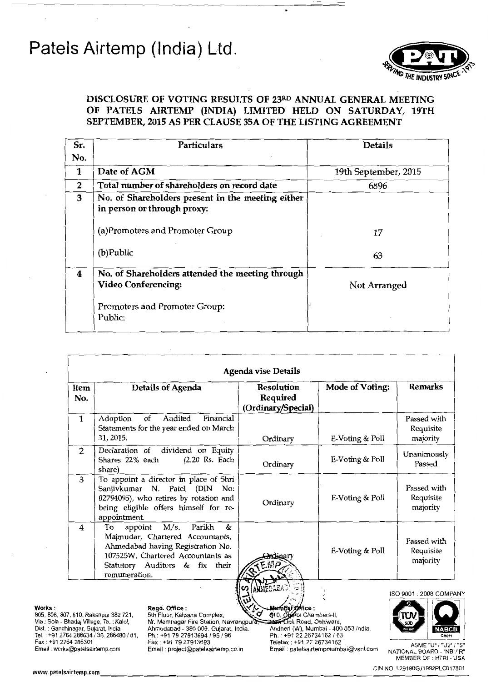# **Patels Airtemp (India) Ltd.**



### DISCLOSURE OF VOTING RESULTS OF 23RD ANNUAL GENERAL MEETING OF PATELS AIRTEMP (INDIA) LIMITED HELD ON SATURDAY, 19TH SEPTEMBER, 2015 AS PER CLAUSE 35A OF THE LISTING AGREEMENT

| Sr.          | <b>Particulars</b>                                                               | <b>Details</b>       |
|--------------|----------------------------------------------------------------------------------|----------------------|
| No.          |                                                                                  |                      |
| 1            | Date of AGM                                                                      | 19th September, 2015 |
| $\mathbf{2}$ | Total number of shareholders on record date                                      | 6896                 |
| 3            | No. of Shareholders present in the meeting either<br>in person or through proxy: |                      |
|              | (a)Promoters and Promoter Group                                                  | 17                   |
|              | (b) Public                                                                       | 63                   |
| 4            | No. of Shareholders attended the meeting through<br><b>Video Conferencing:</b>   | Not Arranged         |
|              | Promoters and Promoter Group:<br>Public:                                         |                      |

| Item<br>No.    | Details of Agenda                                                                                                                                                                                     | <b>Resolution</b><br>Required<br>(Ordinary/Special) |                 | <b>Remarks</b>                       |
|----------------|-------------------------------------------------------------------------------------------------------------------------------------------------------------------------------------------------------|-----------------------------------------------------|-----------------|--------------------------------------|
| $\mathbf{1}$   | Audited<br>Financial<br>Adoption<br>of<br>Statements for the year ended on March<br>31, 2015.                                                                                                         | Ordinary                                            | E-Voting & Poll | Passed with<br>Requisite<br>majority |
| $\overline{2}$ | Declaration of dividend on Equity<br>Shares 22% each<br>$(2.20$ Rs. Each<br>share)                                                                                                                    | Ordinary                                            | E-Voting & Poll | Unanimously<br>Passed                |
| 3              | To appoint a director in place of Shri<br>Sanjivkumar N. Patel (DIN<br>No:<br>02794095), who retires by rotation and<br>being eligible offers himself for re-<br>appointment.                         | Ordinary                                            | E-Voting & Poll | Passed with<br>Requisite<br>majority |
| 4              | appoint $M/s$ .<br>Parikh<br>&<br>To<br>Majmudar, Chartered Accountants,<br>Ahmedabad having Registration No.<br>107525W, Chartered Accountants as<br>Statutory Auditors & fix their<br>remuneration. | ⊭dinary<br>TEMP                                     | E-Voting & Poll | Passed with<br>Requisite<br>majority |

805, 806, 807, 810, Rakanpur 382 721, Tel. Dist. : : +91 Gandhinagar, 2764 286634135. Gujarat, 286480 India. , 81. Email: works@patelsairtemp.com

Ph.: +91 *7927913694/95/96*  Fax: +91 7927913693 Email ;project@patelsairtemp.co.in

Works: Regd. Office: .. ~~ ~ ~ ..i..~;dice: ' I. I I 805, 806, 807, 810, Rakanpur 382 /21, 5th Floor, Kalpana Complex, Wallett, 2006, Oberoi Chambers-II, Navrangpura, Sola - Britannic Station, Navrangpura, Sola - Sola - Sola - Sola - Sola - Sola - Sola - Sola - Sola - Sola -Andheri (W), Mumbai - 400 053 India.<br>Ph. : +91 22 26734162 / 63 Works:<br>
805, 806, 807, 810, Rakanpur 382 721,<br>
Via: Sola - Bhadaj Village, Ta.: Kalol, Nr. Memnagar Fire Station, Navrangpura, Navrangpura, Navra Complex, 191<br>
Dist.: Gandhinagar, Gujarat, India. India. And the solarist o Telefax: +91 22 26734162 Email: patelsairtempmumbai@vsnl.com ASME "U" , "U2" '''S''



NATIONAL BOARD - "NB"r'R" MEMBER OF . HTRI - USA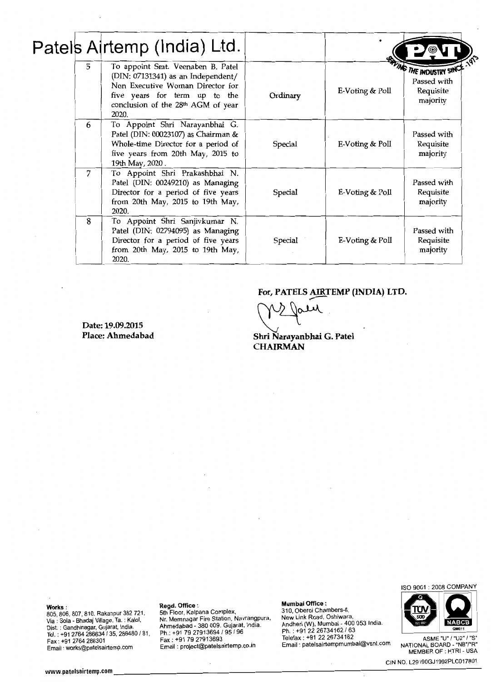|   | Patels Airtemp (India) Ltd.                                                                                                                                                                 |          |                 |                                                           |
|---|---------------------------------------------------------------------------------------------------------------------------------------------------------------------------------------------|----------|-----------------|-----------------------------------------------------------|
| 5 | To appoint Smt. Veenaben B. Patel<br>(DIN: 07131341) as an Independent/<br>Non Executive Woman Director for<br>five years for term up to the<br>conclusion of the 28th AGM of year<br>2020. | Ordinary | E-Voting & Poll | THE INDUSTRY SINC<br>Passed with<br>Requisite<br>majority |
| 6 | To Appoint Shri Narayanbhai G.<br>Patel (DIN: 00023107) as Chairman &<br>Whole-time Director for a period of<br>five years from 20th May, 2015 to<br>19th May, 2020.                        | Special  | E-Voting & Poll | Passed with<br>Requisite<br>majority                      |
| 7 | To Appoint Shri Prakashbhai N.<br>Patel (DIN: 00249210) as Managing<br>Director for a period of five years<br>from 20th May, 2015 to 19th May,<br>2020.                                     | Special  | E-Voting & Poll | Passed with<br>Requisite<br>majority                      |
| 8 | To Appoint Shri Sanjivkumar N.<br>Patel (DIN: 02794095) as Managing<br>Director for a period of five years<br>from 20th May, 2015 to 19th May,<br>2020.                                     | Special  | E-Voting & Poll | Passed with<br>Requisite<br>majority                      |

**Date: 19.09.2015 Place: Ahmedabad**  **For, PATELS AIRTEMP (INDIA) LTD.** 

For, PATELS <u>AIRTEMP (INDIA) LT</u><br>
(V) Joly<br>
bhri Narayanbhai G. Patel

Shri Narayanbhai G. Patel **CHAIRMAN** 

via : 30da - Briadaj Villago, 1d. 11. apr.<br>Dist. : Gandhinagar, Gujarat, India.<br>Tel. : +91 2764 286634 / 35, 286480 / 81, Fax: +91 2764 286301<br>Email: works@patelsairtemp.com

**Regd. Office Mumbai Office** : **Works:** : 310, Oberoi Chambers-II, 805,806,807,810, Rakanpur 382 721, 5th Floor, Kalpana Complex, Nr. Memnagar Fire Station, Navrangpura, New Link Road, Oshiwara, Via: Sola Bhadaj Village, Ta. : Kalol, Ahmedabad 380 009. Gujarat, India. Andheri (W), Mumbai - 400 053 India. Dist. : Gandhinagar, Gujarat, India. Ph.: Ph. : +91 2226734162163 +91 7927913694195196 Email .works@patelsairtemp.com Email: project@patelsairtemp.co.in Email: patelsairtempmumbai@vsnl.com NATIONAL BOARD "NB"I"R"

Fax: +91 7927913693 Telefax: +91 2226734162 ASME "U" I 'U2" I "S'



ASME "U" / "U2" / "S"<br>NATIONAL BOARD - "NB"/"R"<br>MEMBER OF : HTRI - USA

CIN NO. L29190GJ1992PLC017801 WEMBER OF : HTRI-TOS/<br>CIN NO. L29190GJ1992PLC01780<br>WWW.patelsairtemp.com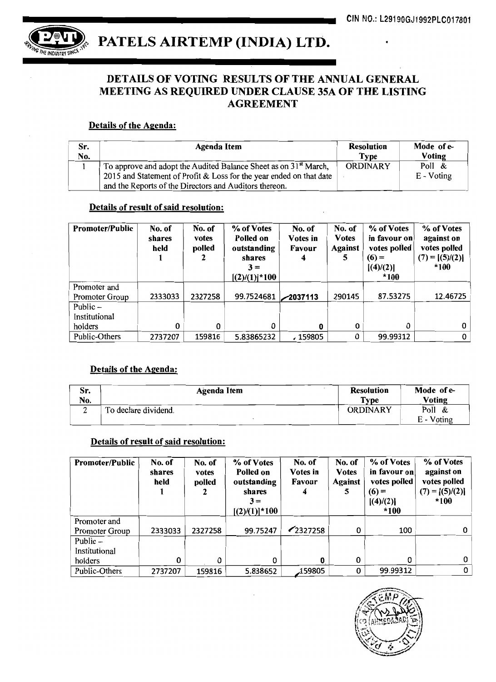

### $PATELS AIRTEMP (INDIA) LTD.$

### DETAILS OF VOTING RESULTS OF THE ANNUAL GENERAL MEETING AS REQUIRED UNDER CLAUSE 35A OF THE LISTING AGREEMENT

### Details of the Agenda:

| Sr.<br>No. | Agenda Item                                                                                                                                         | <b>Resolution</b><br>Type | Mode of e-<br><b>Voting</b> |
|------------|-----------------------------------------------------------------------------------------------------------------------------------------------------|---------------------------|-----------------------------|
|            | To approve and adopt the Audited Balance Sheet as on 31 <sup>st</sup> March,<br>2015 and Statement of Profit & Loss for the year ended on that date | <b>ORDINARY</b>           | Poll $\&$<br>$E - Voting$   |
|            | and the Reports of the Directors and Auditors thereon.                                                                                              |                           |                             |

### Details of result of said resolution:

| <b>Promoter/Public</b>         | No. of<br>shares<br>held | No. of<br>votes<br>polled | % of Votes<br>Polled on<br>outstanding<br>shares<br>$3 =$<br>$[(2)/(1)]$ *100 | No. of<br>Votes in<br><b>Favour</b><br>4 | No. of<br><b>Votes</b><br><b>Against</b><br>5 | % of Votes<br>in favour on<br>votes polled<br>$(6) =$<br>[(4)/(2)]<br>*100 | % of Votes<br>against on<br>votes polled<br>$(7) = [(5)/(2)]$<br>$*100$ |
|--------------------------------|--------------------------|---------------------------|-------------------------------------------------------------------------------|------------------------------------------|-----------------------------------------------|----------------------------------------------------------------------------|-------------------------------------------------------------------------|
| Promoter and<br>Promoter Group | 2333033                  | 2327258                   | 99.7524681 2037113                                                            |                                          | 290145                                        | 87.53275                                                                   | 12.46725                                                                |
| Public $-$<br>Institutional    |                          |                           |                                                                               |                                          |                                               |                                                                            |                                                                         |
| holders                        | 0                        | 0                         | 0                                                                             |                                          | $\Omega$                                      | 0                                                                          | 0                                                                       |
| Public-Others                  | 2737207                  | 159816                    | 5.83865232                                                                    | 159805 ،                                 | 0                                             | 99.99312                                                                   | 0                                                                       |

### Details of the Agenda:

| Sr. | Agenda Item          | <b>Resolution</b> | Mode of e-    |
|-----|----------------------|-------------------|---------------|
| No. |                      | Type              | <b>Voting</b> |
|     | To declare dividend. | ORDINARY          | Poll<br>- &   |
|     |                      |                   | E - Voting    |

### Details of result of said resolution:

| <b>Promoter/Public</b>                 | No. of<br>shares<br>held | No. of<br>votes<br>polled<br>2 | % of Votes<br>Polled on<br>outstanding<br>shares<br>$3 =$<br>$[(2)/(1)]$ *100 | No. of<br>Votes in<br>Favour<br>4 | No. of<br><b>Votes</b><br><b>Against</b><br>5 | % of Votes<br>in favour on<br>votes polled<br>$(6) =$<br>[(4)/(2)]<br>*100 | % of Votes<br>against on<br>votes polled<br>$(7) = [(5)/(2)]$<br>*100 |
|----------------------------------------|--------------------------|--------------------------------|-------------------------------------------------------------------------------|-----------------------------------|-----------------------------------------------|----------------------------------------------------------------------------|-----------------------------------------------------------------------|
| Promoter and<br>Promoter Group         | 2333033                  | 2327258                        | 99.75247                                                                      | $\sim$ 2327258                    | 0                                             | 100                                                                        | 0                                                                     |
| Public $-$<br>Institutional<br>holders | 0                        | 0                              | 0                                                                             | 0                                 | 0                                             | 0                                                                          | 0                                                                     |
| Public-Others                          | 2737207                  | 159816                         | 5.838652                                                                      | 159805.                           | 0                                             | 99.99312                                                                   | 0                                                                     |

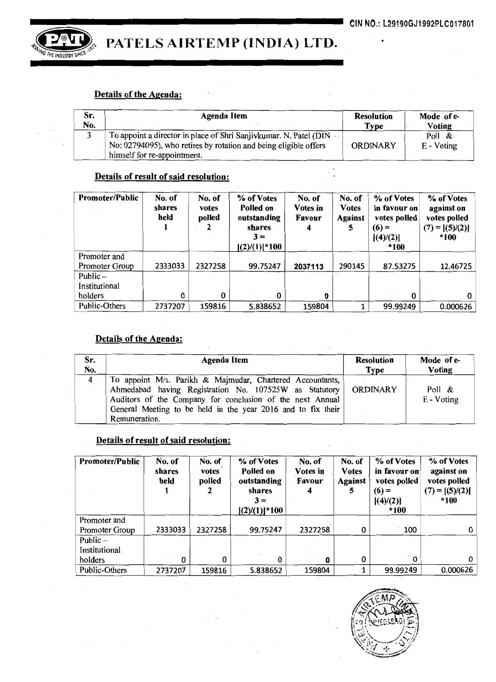

 $\mathbf{P}(\mathbf{U})$  PATELS AIRTEMP (INDIA) LTD.

### Details of the Agenda:

| Sr.<br>No. | Agenda Item                                                       | <b>Resolution</b><br>Type | Mode of e-<br><b>Voting</b> |
|------------|-------------------------------------------------------------------|---------------------------|-----------------------------|
|            | To appoint a director in place of Shri Sanjivkumar. N. Patel (DIN |                           | Poll &                      |
|            | No: 02794095), who retires by rotation and being eligible offers  | ORDINARY                  | E - Voting                  |
|            | himself for re-appointment.                                       |                           |                             |

 $\mathbb{R}^3_+$ 

### Details of result of said resolution:

| <b>Promoter/Public</b> | No. of<br>shares<br>held | No. of<br>votes<br>polled<br>2 | % of Votes<br>Polled on<br>outstanding<br>shares<br>$3 =$<br>$[(2)/(1)]$ *100 | No. of<br>Votes in<br>Favour | No. of<br><b>Votes</b><br><b>Against</b><br>5 | % of Votes<br>in favour on<br>votes polled<br>$(6) =$<br>[(4)/(2)]<br>*100 | % of Votes<br>against on<br>votes polled<br>$(7) = [(5)/(2)]$<br>*100 |
|------------------------|--------------------------|--------------------------------|-------------------------------------------------------------------------------|------------------------------|-----------------------------------------------|----------------------------------------------------------------------------|-----------------------------------------------------------------------|
| Promoter and           |                          |                                |                                                                               |                              |                                               |                                                                            |                                                                       |
| Promoter Group         | 2333033                  | 2327258                        | 99.75247                                                                      | 2037113                      | 290145                                        | 87.53275                                                                   | 12.46725                                                              |
| Public $-$             |                          |                                |                                                                               |                              |                                               |                                                                            |                                                                       |
| Institutional          |                          |                                |                                                                               |                              |                                               |                                                                            |                                                                       |
| holders                | 0                        | 0                              |                                                                               | 0                            |                                               |                                                                            | 0                                                                     |
| Public-Others          | 2737207                  | 159816                         | 5.838652                                                                      | 159804                       |                                               | 99.99249                                                                   | 0.000626                                                              |

### Details of the Agenda:

| Sr.            | Agenda Item                                                                                                                                                                                                                                                       | <b>Resolution</b> | Mode of e-           |
|----------------|-------------------------------------------------------------------------------------------------------------------------------------------------------------------------------------------------------------------------------------------------------------------|-------------------|----------------------|
| No.            |                                                                                                                                                                                                                                                                   | <b>Type</b>       | <b>Voting</b>        |
| $\overline{4}$ | To appoint M/s. Parikh & Majmudar, Chartered Accountants,<br>Ahmedabad having Registration No. 107525W as Statutory<br>Auditors of the Company for conclusion of the next Annual<br>General Meeting to be held in the year 2016 and to fix their<br>Remuneration. | <b>ORDINARY</b>   | Poll &<br>E - Voting |

### Details of result of said resolution:

| <b>Promoter/Public</b> | No. of<br>shares<br>held | No. of<br>votes<br>polled | % of Votes<br>Polled on<br>outstanding<br>shares<br>$3 =$<br>$[(2)/(1)]$ *100 | No. of<br>Votes in<br>Favour<br>4 | No. of<br><b>Votes</b><br><b>Against</b><br>5 | % of Votes<br>in favour on<br>votes polled<br>$(6) =$<br>[(4)/(2)]<br>*100 | % of Votes<br>against on<br>votes polled<br>$(7) = [(5)/(2)]$<br>*100 |
|------------------------|--------------------------|---------------------------|-------------------------------------------------------------------------------|-----------------------------------|-----------------------------------------------|----------------------------------------------------------------------------|-----------------------------------------------------------------------|
| Promoter and           |                          |                           |                                                                               |                                   |                                               |                                                                            |                                                                       |
| Promoter Group         | 2333033                  | 2327258                   | 99.75247                                                                      | 2327258                           | 0                                             | 100                                                                        |                                                                       |
| Public $-$             |                          |                           |                                                                               |                                   |                                               |                                                                            |                                                                       |
| Institutional          |                          |                           |                                                                               |                                   |                                               |                                                                            |                                                                       |
| holders                | 0                        | 0                         | 0                                                                             | 0                                 | 0                                             | $\Omega$                                                                   |                                                                       |
| Public-Others          | 2737207                  | 159816                    | 5.838652                                                                      | 159804                            |                                               | 99.99249                                                                   | 0.000626                                                              |

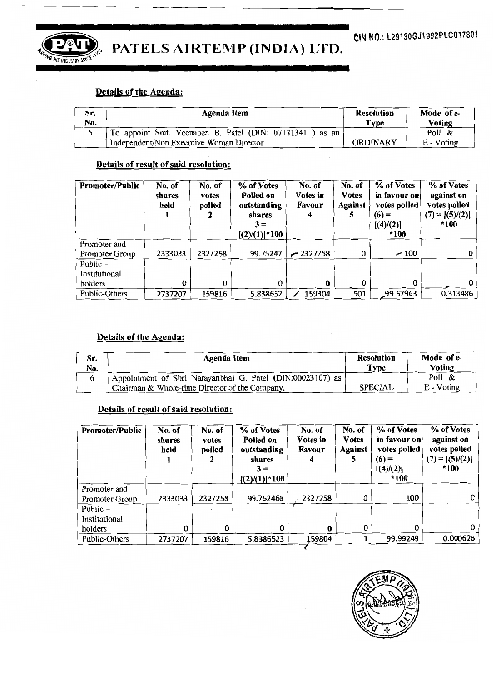

 $\mathcal{D}$  PATELS AIRTEMP (INDIA) LTD.

### Details of the Agenda:

| Sr.<br>No. | Agenda Item                                              | <b>Resolution</b><br><b>Type</b> | Mode of e-<br><b>Voting</b> |
|------------|----------------------------------------------------------|----------------------------------|-----------------------------|
|            | To appoint Smt. Veenaben B. Patel (DIN: 07131341 ) as an |                                  | Poll $\&$                   |
|            | Independent/Non Executive Woman Director                 | ORDINARY                         | E - Voting                  |

### Details of result of said resolution:

| <b>Promoter/Public</b>         | No. of<br>shares<br>held | No. of<br>votes<br>polled<br>2 | % of Votes<br>Polled on<br>outstanding<br>shares<br>$3 =$<br>$[(2)/(1)]$ *100 | No. of<br>Votes in<br><b>Favour</b><br>4 | No. of<br><b>Votes</b><br><b>Against</b><br>J. | % of Votes<br>in favour on<br>votes polled<br>$(6) =$<br>[(4)/(2)]<br>$*100$ | % of Votes<br>against on<br>votes polled<br>$(7) =  (5)/(2) $<br>*100 |
|--------------------------------|--------------------------|--------------------------------|-------------------------------------------------------------------------------|------------------------------------------|------------------------------------------------|------------------------------------------------------------------------------|-----------------------------------------------------------------------|
| Promoter and<br>Promoter Group | 2333033                  | 2327258                        | 99.75247                                                                      | $-2327258$                               | 0                                              | ~100                                                                         |                                                                       |
| Public $-$<br>Institutional    |                          |                                |                                                                               |                                          |                                                |                                                                              |                                                                       |
| holders                        | 0                        | 0                              |                                                                               | 0                                        | 0                                              | 0                                                                            |                                                                       |
| Public-Others                  | 2737207                  | 159816                         | 5.838652                                                                      | 159304                                   | 501                                            | 99.67963                                                                     | 0.313486                                                              |

### Details of the Agenda:

| Sr. | Agenda Item                                                | <b>Resolution</b> | Mode of e- |
|-----|------------------------------------------------------------|-------------------|------------|
| No. |                                                            | <b>Type</b>       | Voting     |
|     | Appointment of Shri Narayanbhai G. Patel (DIN:00023107) as |                   | Poll $\&$  |
|     | Chairman & Whole-time Director of the Company.             | <b>SPECIAL</b>    | E - Voting |

### Details of result of said resolution:

| <b>Promoter/Public</b>                 | No. of<br>shares<br>held | No. of<br>votes<br>polled | % of Votes<br>Polled on<br>outstanding<br>shares<br>$3 =$<br>$[(2)/(1)]$ *100 | No. of<br>Votes in<br><b>Favour</b> | No. of<br><b>Votes</b><br><b>Against</b> | % of Votes<br>in favour on<br>votes polled<br>$(6) =$<br>[(4)/(2)]<br>*100 | % of Votes<br>against on<br>votes polled<br>$(7) =  (5)/(2) $<br>*100 |
|----------------------------------------|--------------------------|---------------------------|-------------------------------------------------------------------------------|-------------------------------------|------------------------------------------|----------------------------------------------------------------------------|-----------------------------------------------------------------------|
| Promoter and<br>Promoter Group         | 2333033                  | 2327258                   | 99.752468                                                                     | 2327258                             | 0                                        | 100                                                                        |                                                                       |
| Public $-$<br>Institutional<br>holders | 0                        | 0                         | 0                                                                             | 0                                   | 0                                        | 0                                                                          |                                                                       |
| Public-Others                          | 2737207                  | 159816                    | 5.8386523                                                                     | 159804                              |                                          | 99.99249                                                                   | 0.000626                                                              |

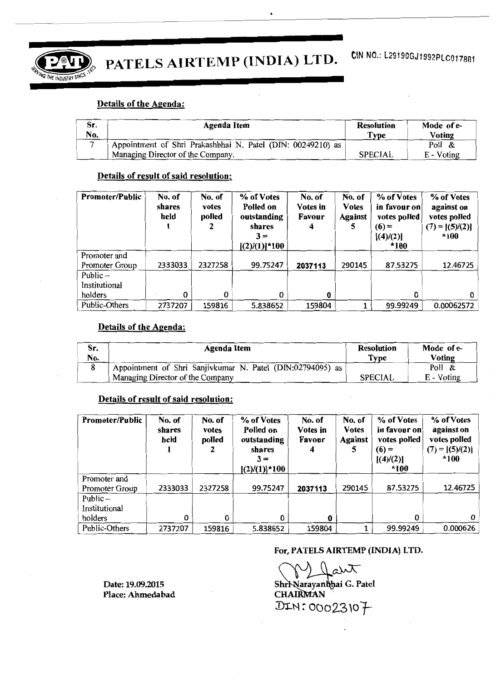

PATELS AIRTEMP (INDIA) LTD. CIN NO.: L29190GJ1992PLC017801

### Details of the Agenda:

| Sr.<br>No. | Agenda Item                                                 | <b>Resolution</b><br>Type | Mode of e-<br>Voting |
|------------|-------------------------------------------------------------|---------------------------|----------------------|
|            | Appointment of Shri Prakashbhai N. Patel (DIN: 00249210) as |                           | Poll &               |
|            | Managing Director of the Company.                           | <b>SPECIAL</b>            | E - Voting           |

 $\ddot{\phantom{0}}$ 

### Details of result of said resolution:

| <b>Promoter/Public</b>         | No. of<br>shares<br>held | No. of<br>votes<br>polled | % of Votes<br>Polled on<br>outstanding<br>shares<br>$3 =$<br>$[(2)/(1)]$ *100 | No. of<br><b>Votes</b> in<br>Favour | No. of<br><b>Votes</b><br><b>Against</b><br>∍ | % of Votes<br>in favour on<br>votes polled<br>$(6) =$<br>[(4)/(2)]<br>*100 | % of Votes<br>against on<br>votes polled<br>$(7) =  (5)/(2) $<br>*100 |
|--------------------------------|--------------------------|---------------------------|-------------------------------------------------------------------------------|-------------------------------------|-----------------------------------------------|----------------------------------------------------------------------------|-----------------------------------------------------------------------|
| Promoter and<br>Promoter Group | 2333033                  | 2327258                   | 99.75247                                                                      | 2037113                             | 290145                                        | 87.53275                                                                   | 12.46725                                                              |
| Public $-$                     |                          |                           |                                                                               |                                     |                                               |                                                                            |                                                                       |
| Institutional                  |                          |                           |                                                                               |                                     |                                               |                                                                            |                                                                       |
| holders                        | 0                        | 0                         | 0                                                                             | n                                   |                                               | 0                                                                          |                                                                       |
| Public-Others                  | 2737207                  | 159816                    | 5.838652                                                                      | 159804                              |                                               | 99.99249                                                                   | 0.00062572                                                            |

### Details of the Agenda:

| Sr. | Agenda Item                                                | <b>Resolution</b> | Mode of e- |
|-----|------------------------------------------------------------|-------------------|------------|
| No. |                                                            | Type              | Voting     |
|     | Appointment of Shri Sanjivkumar N. Patel (DIN:02794095) as |                   | Poll $\&$  |
|     | Managing Director of the Company                           | <b>SPECIAL</b>    | E - Voting |

### Details of result of said resolution:

| <b>Promoter/Public</b>         | No. of<br>shares<br>held | No. of<br>votes<br>polled | % of Votes<br>Polled on<br>outstanding<br>shares<br>$3 =$<br>$[(2)/(1)]$ *100 | No. of<br>Votes in<br>Favour<br>4 | No. of<br><b>Votes</b><br>Against<br>5 | % of Votes<br>in favour on<br>votes polled<br>$(6) =$<br>[(4)/(2)]<br>$*100$ | % of Votes<br>against on<br>votes polled<br>$(7) =  (5)/(2) $<br>$*100$ |
|--------------------------------|--------------------------|---------------------------|-------------------------------------------------------------------------------|-----------------------------------|----------------------------------------|------------------------------------------------------------------------------|-------------------------------------------------------------------------|
| Promoter and<br>Promoter Group | 2333033                  | 2327258                   | 99.75247                                                                      | 2037113                           | 290145                                 | 87.53275                                                                     | 12.46725                                                                |
| Public $-$                     |                          |                           |                                                                               |                                   |                                        |                                                                              |                                                                         |
| Institutional                  |                          |                           |                                                                               |                                   |                                        |                                                                              |                                                                         |
| holders                        | 0                        | 0                         | 0                                                                             | $^{\circ}$ 0                      |                                        | 0                                                                            | 0                                                                       |
| Public-Others                  | 2737207                  | 159816                    | 5.838652                                                                      | 159804                            |                                        | 99.99249                                                                     | 0.000626                                                                |

### For, PATELS AIRTEMP (INDIA) LTD.

art

Date: 19.09.2015 ShriNarayanthai G. Patel<br>Place: Ahmedabad CHAIRMAN  $DIN: 00023107$ 

Place: Ahmedabad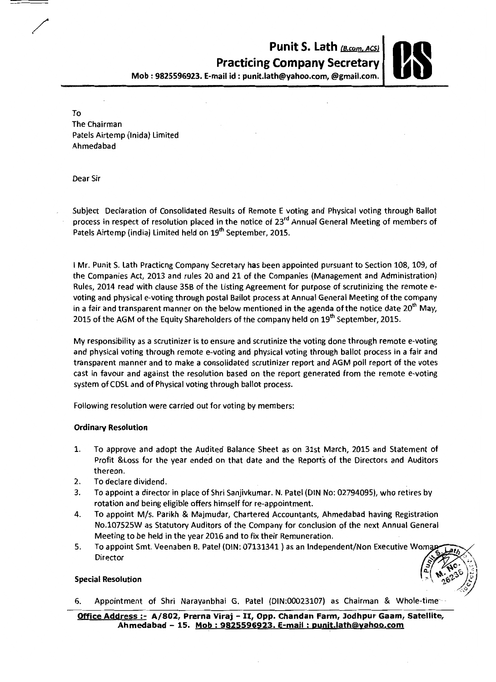### **Punit S. Lath** (B.com, ACS) **Practicing Company Secretary**<br>h@yahoo.com, @gmail.com.

Mob: 9825596923. E-mail id: punit.lath@yahoo.com, @gmail.com.

To The Chairman Patels Airtemp (Inida) Limited Ahmedabad

Dear Sir

/

Subject Declaration of Consolidated Results of Remote E voting and Physical voting through Ballot process in respect of resolution placed in the notice of 23<sup>rd</sup> Annual General Meeting of members of Patels Airtemp (india) Limited held on 19<sup>th</sup> September, 2015.

I Mr. Punit S. lath Practicng Company Secretary has been appointed pursuant to Section 108, 109, of the Companies Act, 2013 and rules 20 and 21 of the Companies (Management and Administration) Rules, 2014 read with clause 358 of the Listing Agreement for purpose of scrutinizing the remote evoting and physical e-voting through postal Ballot process at Annual General Meeting of the company in a fair and transparent manner on the below mentioned in the agenda of the notice date  $20^{\text{th}}$  May, 2015 of the AGM of the Equity Shareholders of the company held on  $19<sup>th</sup>$  September, 2015.

My responsibility as a scrutinizer is to ensure and scrutinize the voting done through remote e-voting and physical voting through remote e-voting and physical voting through ballot process in a fair and transparent manner and to make a consolidated scrutinizer report and AGM poll report of the votes cast in favour and against the resolution based on the report generated from the remote e-voting system of CDSL and of Physical voting through ballot process.

Following resolution were carried out for voting by members:

#### Ordinary Resolution

- 1. To approve and adopt the Audited Balance Sheet as on 31st March, 2015 and Statement of Profit &Loss for the year ended on that date and the Reports of the Directors and Auditors thereon.
- 2. To declare dividend.
- 3. To appoint a director in place of Shri Sanjivkumar. N. Patel (DIN No: 02794095), who retires by rotation and being eligible offers himself for re-appointment.
- 4. To appoint M/s. Parikh & Majmudar, Chartered Accountants, Ahmedabad having Registration NO.l07525W as Statutory Auditors of the Company for conclusion of the next Annual General Meeting to be held in the year 2016 and to fix their Remuneration.
- 5. To appoint Smt. Veenaben B. Patel (DIN: 07131341 ) as an Independent/Non Executive Woma<br>5. **Director**

# Special Resolution  $\begin{pmatrix} \frac{1}{\alpha} & \mathbf{w}^T \mathbf{w}^T \mathbf{w}^T \mathbf{w}^T \mathbf{w}^T \mathbf{w}^T \mathbf{w}^T \mathbf{w}^T \mathbf{w}^T \mathbf{w}^T \mathbf{w}^T \mathbf{w}^T \mathbf{w}^T \mathbf{w}^T \mathbf{w}^T \mathbf{w}^T \mathbf{w}^T \mathbf{w}^T \mathbf{w}^T \mathbf{w}^T \mathbf{w}^T \mathbf{w}^T \mathbf{w}^T \math$

6. Appointment of Shri Narayanbhai G. Patel (DIN:00023107) as Chairman & Whole-time·

Office Address : A/802, Prerna Viraj - II, Opp. Chandan Farm, Jodhpur Gaam, Satellite, Ahmedabad - 15. Mob: 9825596923. E-mail: Dunit.lath@yahoo.com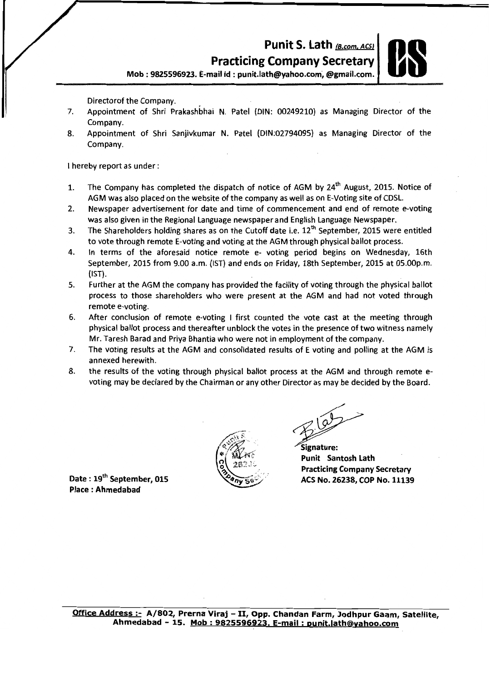**Punit S. Lath (B.com, ACS) Practicing Company Secretary** 

Mob: 9825596923. E-mail id: punit.lath@yahoo.com, @gmail.com.

Directorof the Company.

- 7. Appointment of Shri Prakashbhai N. Patel (DIN: 00249210) as Managing Director of the Company.
- 8. Appointment of Shri Sanjivkumar N. Patel (DIN:02794095) as Managing Director of the Company.

I hereby report as under:

- 1. The Company has completed the dispatch of notice of AGM by  $24<sup>th</sup>$  August, 2015. Notice of AGM was also placed on the website of the company as well as on E·Voting site of CDSL.
- 2. Newspaper advertisement for date and time of commencement and end of remote e-voting was also given in the Regional language newspaper and English language Newspaper.
- 3. The Shareholders holding shares as on the Cutoff date i.e.  $12<sup>th</sup>$  September, 2015 were entitled to vote through remote E-voting and voting at the AGM through physical ballot process.
- 4. In terms of the aforesaid notice remote e- voting period begins on Wednesday, 16th September, 2015 from 9.00 a.m. {1ST} and ends on Friday, 18th September, 2015 at 05.00p.m. {1ST}.
- 5. Further at the AGM the company has provided the facility of voting through the physical ballot process to those shareholders who were present at the AGM and had not voted through remote e-voting.
- 6. After conclusion of remote e-voting I first counted the vote cast at the meeting through physical ballot process and thereafter unblock the votes in the presence of two witness namely Mr. Taresh Barad and Priya Bhantia who were not in employment of the company.
- 7. The voting results at the AGM and consolidated results of E voting and polling at the AGM is annexed herewith.
- 8. the results of the voting through physical ballot process at the AGM and through remote evoting may be declared by the Chairman or any other Director as may be decided by the Board.



 $\frac{1}{2}$ and Calendary Signature:<br>Punit Santosh Lath

Practicing Company Secretary Date: 19<sup>th</sup> September, 015  $\sqrt{\omega_{\theta_{\text{TV}}} s_{\theta}}$  ACS No. 26238, COP No. 11139

Place: Ahmedabad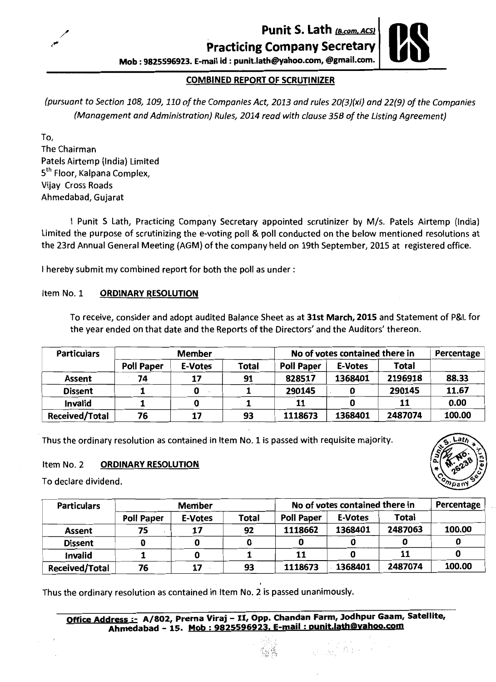### Punit S. Lath (B.com, ACS) Practicing Company Secretary Mob: 9825596923. E-mail id: punit.lath@yahoo.com, @gmail.com.



### COMBINED REPORT OF SCRUTINIZER

(pursuant to Section 108, 109, 110 of the Companies Act, 2013 and rules 20(3)(xi) and 22(9) of the Companies (Management and Administration) Rules, 2014 read with clause 358 of the Listing Agreement)

To,

The Chairman Patels Airtemp (India) Limited 5<sup>th</sup> Floor, Kalpana Complex, Vijay Cross Roads Ahmedabad, Gujarat

I Punit S Lath, Practicing Company Secretary appointed scrutinizer by M/s. Patels Airtemp (India) Limited the purpose of scrutinizing the e-voting poll & poll conducted on the below mentioned resolutions at the 23rd Annual General Meeting (AGM) of the company held on 19th September, 2015 at registered office.

I hereby submit my combined report for both the poll as under:

### Item No. 1 ORDINARY RESOLUTION

To receive, consider and adopt audited Balance Sheet as at 31st March, 2015 and Statement of P&L for the year ended on that date and the Reports of the Directors' and the Auditors' thereon.

| <b>Particulars</b>    | <b>Member</b>     |         |              | No of votes contained there in | Percentage |              |        |
|-----------------------|-------------------|---------|--------------|--------------------------------|------------|--------------|--------|
|                       | <b>Poll Paper</b> | E-Votes | <b>Total</b> | <b>Poll Paper</b>              | E-Votes    | <b>Total</b> |        |
| <b>Assent</b>         | 74                | 17      | 91           | 828517                         | 1368401    | 2196918      | 88.33  |
| <b>Dissent</b>        |                   |         |              | 290145                         |            | 290145       | 11.67  |
| Invalid               |                   |         |              | 11                             |            | 11           | 0.00   |
| <b>Received/Total</b> | 76                | 17      | 93           | 1118673                        | 1368401    | 2487074      | 100.00 |

Thus the ordinary resolution as contained in Item No.1 is passed with requisite majority.

### Item No. 2 ORDINARY RESOLUTION

To declare dividend.

| <b>Particulars</b>    |                   | <b>Member</b> |              |                   | No of votes contained there in |         |        |  |
|-----------------------|-------------------|---------------|--------------|-------------------|--------------------------------|---------|--------|--|
|                       | <b>Poll Paper</b> | E-Votes       | <b>Total</b> | <b>Poll Paper</b> | <b>E-Votes</b>                 | Total   |        |  |
| <b>Assent</b>         | 75                | 17            | 92           | 1118662           | 1368401                        | 2487063 | 100.00 |  |
| <b>Dissent</b>        |                   |               |              |                   |                                |         |        |  |
| Invalid               |                   |               |              |                   |                                | 11      |        |  |
| <b>Received/Total</b> | 76                | 17            | 93           | 1118673           | 1368401                        | 2487074 | 100.00 |  |

Thus the ordinary resolution as contained in Item No.2 is passed unanimously.

Office Address :- A/802, Prerna Viraj - II, Opp. Chandan Farm, Jodhpur Gaam, Satellite, Ahmedabad - 15. Mob: 9825596923. E-mail: Dunit.lath@yahoo·com

- August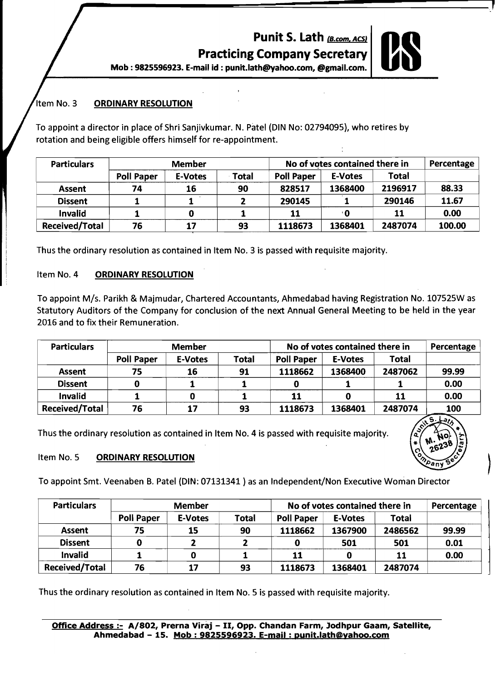Punit S. Lath (B.com, ACS) **Practicing Company Secretary** 



 $\binom{10}{2}$   $\binom{10}{2}$   $\binom{10}{2}$ 

Mob: 9825596923. E-mail id:punit.lath@Yahoo.com.@gmail.com. **us** 

#### Item No. 3 ORDINARY RESOLUTION

To appoint a director in place of Shri Sanjivkumar. N. Patel (DIN No: 02794095), who retires by rotation and being eligible offers himself for re-appointment.

| <b>Particulars</b>    | <b>Member</b>     |                |              | No of votes contained there in | Percentage |              |        |
|-----------------------|-------------------|----------------|--------------|--------------------------------|------------|--------------|--------|
|                       | <b>Poll Paper</b> | <b>E-Votes</b> | <b>Total</b> | <b>Poll Paper</b>              | E-Votes    | <b>Total</b> |        |
| Assent                | 74                | 16             | 90           | 828517                         | 1368400    | 2196917      | 88.33  |
| <b>Dissent</b>        |                   |                |              | 290145                         |            | 290146       | 11.67  |
| <b>Invalid</b>        |                   | 0              |              | 11                             | ۰0         | 11           | 0.00   |
| <b>Received/Total</b> | 76                | 17             | 93           | 1118673                        | 1368401    | 2487074      | 100.00 |

Thus the ordinary resolution as contained in Item No. 3 is passed with requisite majority.

### Item No.4 ORDINARY RESOLUTION

To appoint M/s. Parikh & Majmudar, Chartered Accountants, Ahmedabad having Registration No. 107525Was Statutory Auditors of the Company for conclusion of the next Annual General Meeting to be held in the year 2016 and to fix their Remuneration.

| <b>Particulars</b>    |                   | <b>Member</b>  |              | No of votes contained there in | Percentage |              |       |
|-----------------------|-------------------|----------------|--------------|--------------------------------|------------|--------------|-------|
|                       | <b>Poll Paper</b> | <b>E-Votes</b> | <b>Total</b> | <b>Poll Paper</b>              | E-Votes    | <b>Total</b> |       |
| <b>Assent</b>         | 75                | 16             | 91           | 1118662                        | 1368400    | 2487062      | 99.99 |
| <b>Dissent</b>        | 0                 |                |              |                                |            |              | 0.00  |
| <b>Invalid</b>        |                   |                |              | 11                             |            | 11           | 0.00  |
| <b>Received/Total</b> | 76                | 17             | 93           | 1118673                        | 1368401    | 2487074      | 100   |

Thus the ordinary resolution as contained in Item No. 4 is passed with requisite majority.

# Item No. 5 **ORDINARY RESOLUTION**  $\begin{pmatrix} * & w_1 \ 26238 & w_2 \ 0 & w_1 \end{pmatrix}$

To appoint Smt. Veenaben B. Patel (DIN: 07131341 ) as an Independent/Non Executive Woman Director

| <b>Particulars</b> | <b>Member</b>     |                |              | No of votes contained there in | Percentage     |              |       |
|--------------------|-------------------|----------------|--------------|--------------------------------|----------------|--------------|-------|
|                    | <b>Poll Paper</b> | <b>E-Votes</b> | <b>Total</b> | <b>Poll Paper</b>              | <b>E-Votes</b> | <b>Total</b> |       |
| Assent             | 75                | 15             | 90           | 1118662                        | 1367900        | 2486562      | 99.99 |
| <b>Dissent</b>     |                   |                |              |                                | 501            | 501          | 0.01  |
| Invalid            |                   |                |              | 11                             |                | 11           | 0.00  |
| Received/Total     | 76                | 17             | 93           | 1118673                        | 1368401        | 2487074      |       |

Thus the ordinary resolution as contained in Item No.5 is passed with requisite majority.

Office Address :- A/802, Prerna Viraj - II, Opp. Chandan Farm, Jodhpur Gaam, Satellite, Ahmedabad - 15. Mob: 9825596923. E-mail: punit.lath@yahoo.com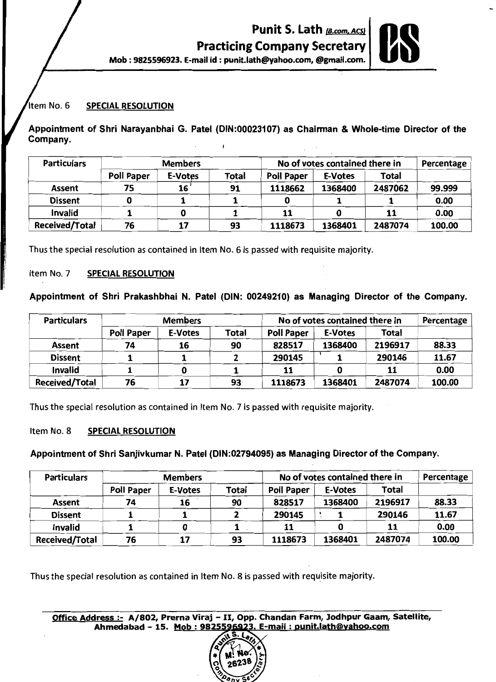

#### ltem No. 6 SPECIAL RESOLUTION

Appointment of Shri Narayanbhai G. Patel (DIN:00023107) as Chairman & Whole-time Director of the Company.

| <b>Particulars</b> | <b>Members</b>    |                |              | No of votes contained there in |                |              | Percentage |
|--------------------|-------------------|----------------|--------------|--------------------------------|----------------|--------------|------------|
|                    | <b>Poll Paper</b> | <b>E-Votes</b> | <b>Total</b> | <b>Poll Paper</b>              | <b>E-Votes</b> | <b>Total</b> |            |
| <b>Assent</b>      | 75                | 16             | 91           | 1118662                        | 1368400        | 2487062      | 99.999     |
| <b>Dissent</b>     |                   |                |              |                                |                |              | 0.00       |
| <b>Invalid</b>     |                   |                |              | 11                             |                | 11           | 0.00       |
| Received/Total     | 76                | 17             | 93           | 1118673                        | 1368401        | 2487074      | 100.00     |

Thus the special resolution as contained in Item No.6 is passed with requisite majority.

### Item No. 7 SPECIAL RESOLUTION

 $\mathcal{L}^{\text{max}}$  . The mass of the space of  $\mathcal{L}^{\text{max}}$ 

Appointment of Shri Prakashbhai N. Patel (DIN: 00249210) as Managing Director of the Company.

| <b>Particulars</b> | <b>Members</b>    |                |              | No of votes contained there in |                |              | Percentage |
|--------------------|-------------------|----------------|--------------|--------------------------------|----------------|--------------|------------|
|                    | <b>Poll Paper</b> | <b>E-Votes</b> | <b>Total</b> | <b>Poll Paper</b>              | <b>E-Votes</b> | <b>Total</b> |            |
| Assent             | 74                | 16             | 90           | 828517                         | 1368400        | 2196917      | 88.33      |
| <b>Dissent</b>     |                   |                |              | 290145                         |                | 290146       | 11.67      |
| <b>Invalid</b>     |                   |                |              | 11                             |                | 11           | 0.00       |
| Received/Total     | 76                | 17             | 93           | 1118673                        | 1368401        | 2487074      | 100.00     |

Thus the special resolution as contained in Item No.7 is passed with requisite majority.

### Item No. 8 SPECIAL RESOLUTION

Appointment of Shri Sanjivkumar N. Patel (DIN:02794095) as Managing Director of the Company.

| <b>Particulars</b> | <b>Members</b>    |                |       | No of votes contained there in |                |              | Percentage |
|--------------------|-------------------|----------------|-------|--------------------------------|----------------|--------------|------------|
|                    | <b>Poll Paper</b> | <b>E-Votes</b> | Total | <b>Poll Paper</b>              | <b>E-Votes</b> | <b>Total</b> |            |
| <b>Assent</b>      | 74                | 16             | 90    | 828517                         | 1368400        | 2196917      | 88.33      |
| <b>Dissent</b>     |                   |                |       | 290145                         |                | 290146       | 11.67      |
| <b>Invalid</b>     |                   |                |       | 11                             |                | 11           | 0.00       |
| Received/Total     | 76                | 17             | 93    | 1118673                        | 1368401        | 2487074      | 100.00     |

Thus the special resolution as contained in Item No. 8 is passed with requisite majority.